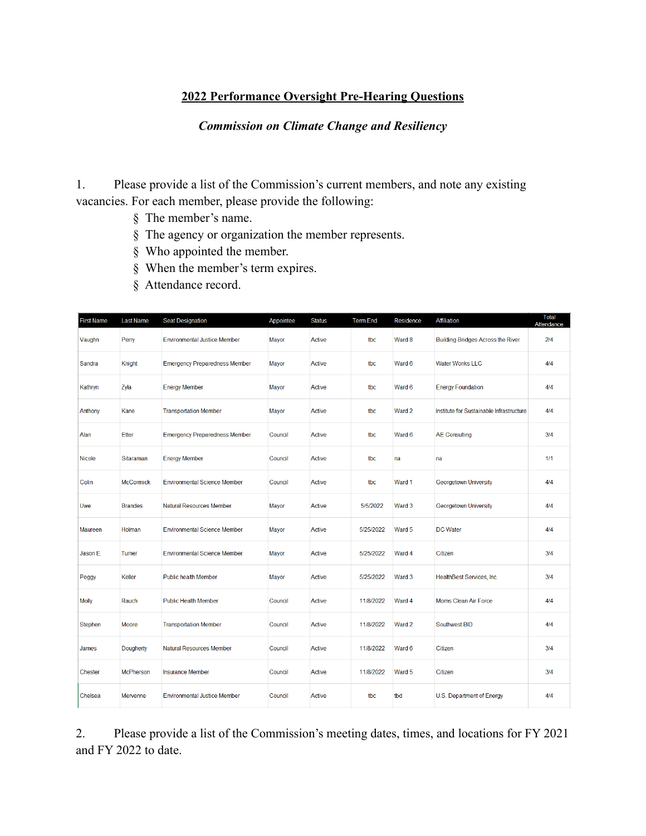## **2022 Performance Oversight Pre-Hearing Questions**

## *Commission on Climate Change and Resiliency*

1. Please provide a list of the Commission's current members, and note any existing vacancies. For each member, please provide the following:

- § The member's name.
- § The agency or organization the member represents.
- § Who appointed the member.
- § When the member's term expires.
- § Attendance record.

| <b>First Name</b> | <b>Last Name</b> | <b>Seat Designation</b>              | Appointee    | <b>Status</b> | <b>Term End</b> | Residence | Affiliation                              | <b>Total</b><br>Attendance |
|-------------------|------------------|--------------------------------------|--------------|---------------|-----------------|-----------|------------------------------------------|----------------------------|
| Vaughn            | Perry            | <b>Environmental Justice Member</b>  | <b>Mayor</b> | <b>Active</b> | tbc             | Ward 8    | <b>Building Bridges Across the River</b> | 2/4                        |
| Sandra            | Knight           | <b>Emergency Preparedness Member</b> | Mayor        | <b>Active</b> | tbc             | Ward 6    | <b>Water Wonks LLC</b>                   | 4/4                        |
| Kathryn           | Zyla             | <b>Energy Member</b>                 | Mayor        | <b>Active</b> | tbc             | Ward 6    | <b>Energy Foundation</b>                 | 4/4                        |
| Anthony           | Kane             | <b>Transportation Member</b>         | Mayor        | <b>Active</b> | tbc             | Ward 2    | Institute for Sustainable Infrastructure | 4/4                        |
| Alan              | <b>Etter</b>     | <b>Emergency Preparedness Member</b> | Council      | <b>Active</b> | tbc             | Ward 6    | <b>AE Consulting</b>                     | 3/4                        |
| Nicole            | Sitaraman        | <b>Energy Member</b>                 | Council      | <b>Active</b> | tbc             | na        | na                                       | 1/1                        |
| Colin             | <b>McCormick</b> | <b>Environmental Science Member</b>  | Council      | <b>Active</b> | tbc             | Ward 1    | Georgetown University                    | 4/4                        |
| Uwe               | <b>Brandes</b>   | <b>Natural Resources Member</b>      | Mayor        | <b>Active</b> | 5/5/2022        | Ward 3    | Georgetown University                    | 4/4                        |
| Maureen           | Holman           | <b>Environmental Science Member</b>  | <b>Mayor</b> | <b>Active</b> | 5/25/2022       | Ward 5    | <b>DC</b> Water                          | 4/4                        |
| Jason E.          | Turner           | <b>Environmental Science Member</b>  | Mayor        | Active        | 5/25/2022       | Ward 4    | Citizen                                  | 3/4                        |
| Peggy             | Keller           | <b>Public health Member</b>          | Mayor        | <b>Active</b> | 5/25/2022       | Ward 3    | HealthBest Services, Inc.                | 3/4                        |
| <b>Molly</b>      | Rauch            | <b>Public Health Member</b>          | Council      | Active        | 11/8/2022       | Ward 4    | <b>Moms Clean Air Force</b>              | 4/4                        |
| Stephen           | Moore            | <b>Transportation Member</b>         | Council      | <b>Active</b> | 11/8/2022       | Ward 2    | Southwest BID                            | 4/4                        |
| James             | Dougherty        | <b>Natural Resources Member</b>      | Council      | <b>Active</b> | 11/8/2022       | Ward 6    | Citizen                                  | 3/4                        |
| <b>Chester</b>    | <b>McPherson</b> | <b>Insurance Member</b>              | Council      | <b>Active</b> | 11/8/2022       | Ward 5    | Citizen                                  | 3/4                        |
| Chelsea           | <b>Mervenne</b>  | <b>Environmental Justice Member</b>  | Council      | <b>Active</b> | tbc             | tbd       | U.S. Department of Energy                | 4/4                        |

2. Please provide a list of the Commission's meeting dates, times, and locations for FY 2021 and FY 2022 to date.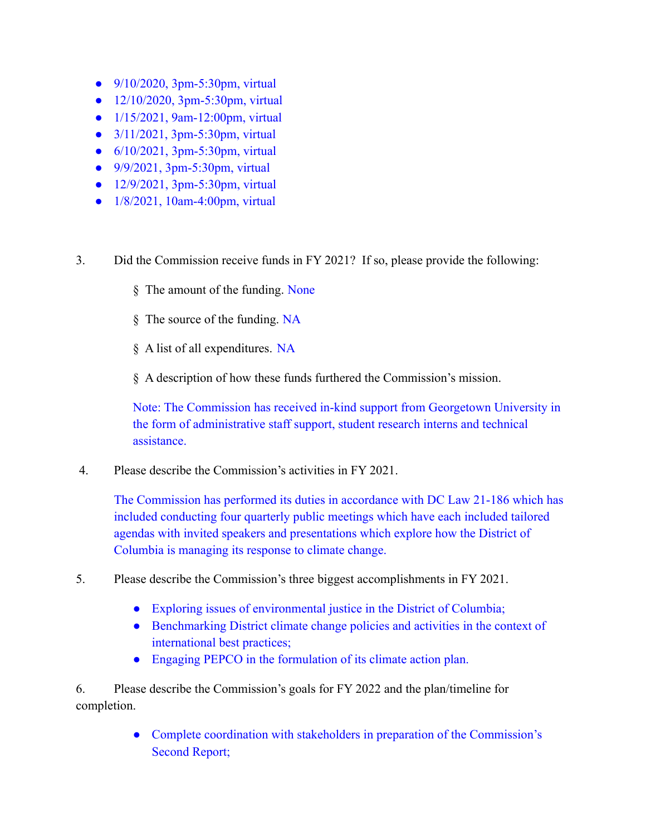- $9/10/2020$ , 3pm-5:30pm, virtual
- $12/10/2020$ , 3pm-5:30pm, virtual
- 1/15/2021, 9am-12:00pm, virtual
- $3/11/2021$ , 3pm-5:30pm, virtual
- 6/10/2021, 3pm-5:30pm, virtual
- 9/9/2021, 3pm-5:30pm, virtual
- 12/9/2021, 3pm-5:30pm, virtual
- 1/8/2021, 10am-4:00pm, virtual
- 3. Did the Commission receive funds in FY 2021? If so, please provide the following:
	- § The amount of the funding. None
	- § The source of the funding. NA
	- § A list of all expenditures. NA
	- § A description of how these funds furthered the Commission's mission.

Note: The Commission has received in-kind support from Georgetown University in the form of administrative staff support, student research interns and technical assistance.

4. Please describe the Commission's activities in FY 2021.

The Commission has performed its duties in accordance with DC Law 21-186 which has included conducting four quarterly public meetings which have each included tailored agendas with invited speakers and presentations which explore how the District of Columbia is managing its response to climate change.

- 5. Please describe the Commission's three biggest accomplishments in FY 2021.
	- Exploring issues of environmental justice in the District of Columbia;
	- Benchmarking District climate change policies and activities in the context of international best practices;
	- Engaging PEPCO in the formulation of its climate action plan.

6. Please describe the Commission's goals for FY 2022 and the plan/timeline for completion.

> • Complete coordination with stakeholders in preparation of the Commission's Second Report;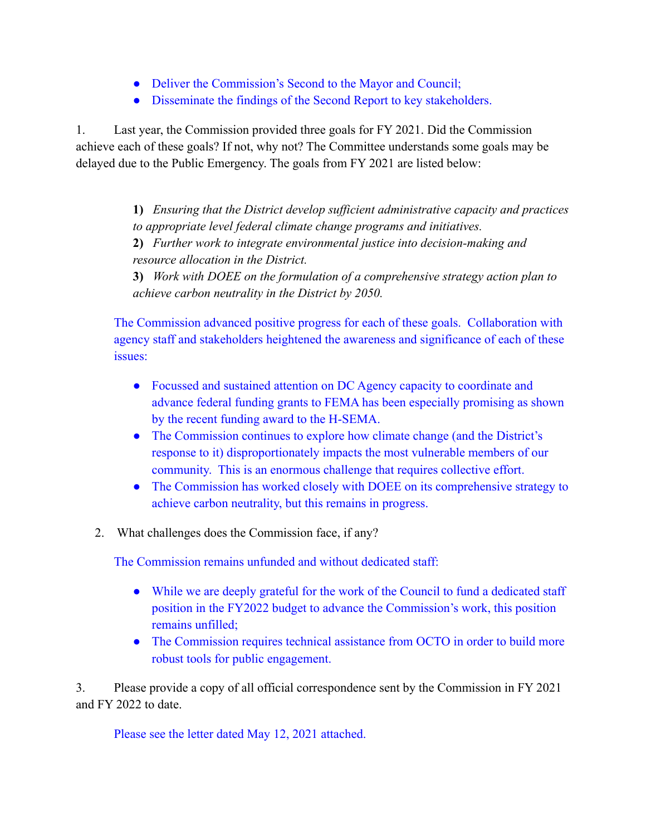- Deliver the Commission's Second to the Mayor and Council;
- Disseminate the findings of the Second Report to key stakeholders.

1. Last year, the Commission provided three goals for FY 2021. Did the Commission achieve each of these goals? If not, why not? The Committee understands some goals may be delayed due to the Public Emergency. The goals from FY 2021 are listed below:

> **1)** *Ensuring that the District develop sufficient administrative capacity and practices to appropriate level federal climate change programs and initiatives.*

**2)** *Further work to integrate environmental justice into decision-making and resource allocation in the District.*

**3)** *Work with DOEE on the formulation of a comprehensive strategy action plan to achieve carbon neutrality in the District by 2050.*

The Commission advanced positive progress for each of these goals. Collaboration with agency staff and stakeholders heightened the awareness and significance of each of these issues:

- Focussed and sustained attention on DC Agency capacity to coordinate and advance federal funding grants to FEMA has been especially promising as shown by the recent funding award to the H-SEMA.
- The Commission continues to explore how climate change (and the District's response to it) disproportionately impacts the most vulnerable members of our community. This is an enormous challenge that requires collective effort.
- The Commission has worked closely with DOEE on its comprehensive strategy to achieve carbon neutrality, but this remains in progress.
- 2. What challenges does the Commission face, if any?

The Commission remains unfunded and without dedicated staff:

- While we are deeply grateful for the work of the Council to fund a dedicated staff position in the FY2022 budget to advance the Commission's work, this position remains unfilled;
- The Commission requires technical assistance from OCTO in order to build more robust tools for public engagement.

3. Please provide a copy of all official correspondence sent by the Commission in FY 2021 and FY 2022 to date.

Please see the letter dated May 12, 2021 attached.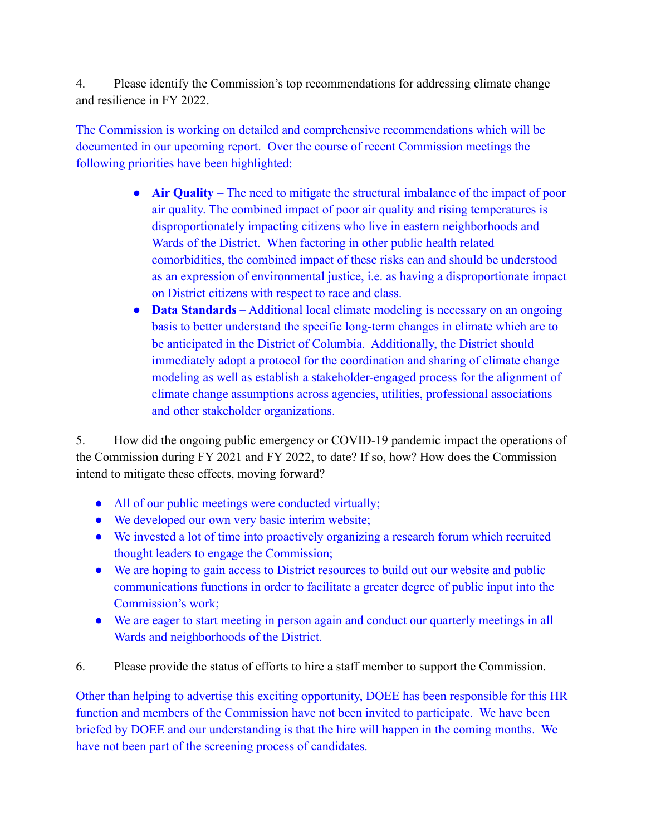4. Please identify the Commission's top recommendations for addressing climate change and resilience in FY 2022.

The Commission is working on detailed and comprehensive recommendations which will be documented in our upcoming report. Over the course of recent Commission meetings the following priorities have been highlighted:

- **Air Quality** The need to mitigate the structural imbalance of the impact of poor air quality. The combined impact of poor air quality and rising temperatures is disproportionately impacting citizens who live in eastern neighborhoods and Wards of the District. When factoring in other public health related comorbidities, the combined impact of these risks can and should be understood as an expression of environmental justice, i.e. as having a disproportionate impact on District citizens with respect to race and class.
- **Data Standards** Additional local climate modeling is necessary on an ongoing basis to better understand the specific long-term changes in climate which are to be anticipated in the District of Columbia. Additionally, the District should immediately adopt a protocol for the coordination and sharing of climate change modeling as well as establish a stakeholder-engaged process for the alignment of climate change assumptions across agencies, utilities, professional associations and other stakeholder organizations.

5. How did the ongoing public emergency or COVID-19 pandemic impact the operations of the Commission during FY 2021 and FY 2022, to date? If so, how? How does the Commission intend to mitigate these effects, moving forward?

- All of our public meetings were conducted virtually;
- We developed our own very basic interim website;
- We invested a lot of time into proactively organizing a research forum which recruited thought leaders to engage the Commission;
- We are hoping to gain access to District resources to build out our website and public communications functions in order to facilitate a greater degree of public input into the Commission's work;
- We are eager to start meeting in person again and conduct our quarterly meetings in all Wards and neighborhoods of the District.
- 6. Please provide the status of efforts to hire a staff member to support the Commission.

Other than helping to advertise this exciting opportunity, DOEE has been responsible for this HR function and members of the Commission have not been invited to participate. We have been briefed by DOEE and our understanding is that the hire will happen in the coming months. We have not been part of the screening process of candidates.